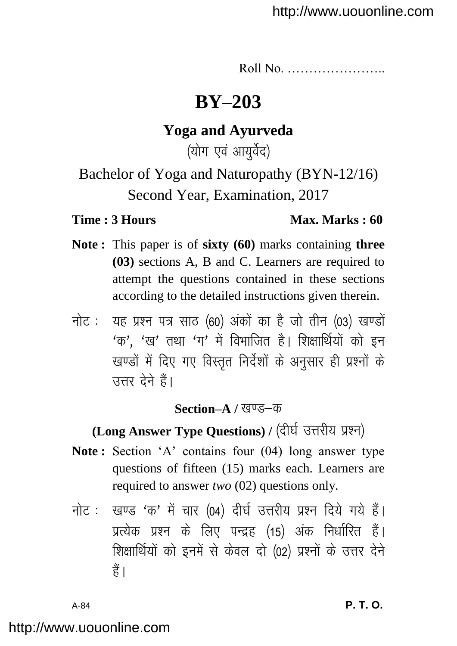Roll No. …………………..

# **BY–203**

## **Yoga and Ayurveda**

(योग एवं आयुर्वेद)

Bachelor of Yoga and Naturopathy (BYN-12/16) Second Year, Examination, 2017

### **Time : 3 Hours Max. Marks : 60**

- **Note :** This paper is of **sixty (60)** marks containing **three (03)** sections A, B and C. Learners are required to attempt the questions contained in these sections according to the detailed instructions given therein.
- नोट: यह प्रश्न पत्र साठ (60) अंकों का है जो तीन (03) खण्डों  $4\pi$ ,  $4\pi$ , तथा  $4\pi$ , में विभाजित है। शिक्षार्थियों को इन खण्डों में दिए गए विस्तृत निर्देशों के अनुसार ही प्रश्नों के उत्तर देने हैं।

### **Section–A / खण्ड–क**

# (Long Answer Type Questions) / (दीर्घ उत्तरीय प्रश्न)

- Note: Section 'A' contains four (04) long answer type questions of fifteen (15) marks each. Learners are required to answer *two* (02) questions only.
- नोट: खण्ड 'क' में चार (04) दीर्घ उत्तरीय प्रश्न दिये गये हैं। प्रत्येक प्रश्न के लिए पन्द्रह (15) अंक निर्धारित हैं। शिक्षार्थियों को इनमें से केवल दो (02) प्रश्नों के उत्तर देने  $\frac{4}{5}$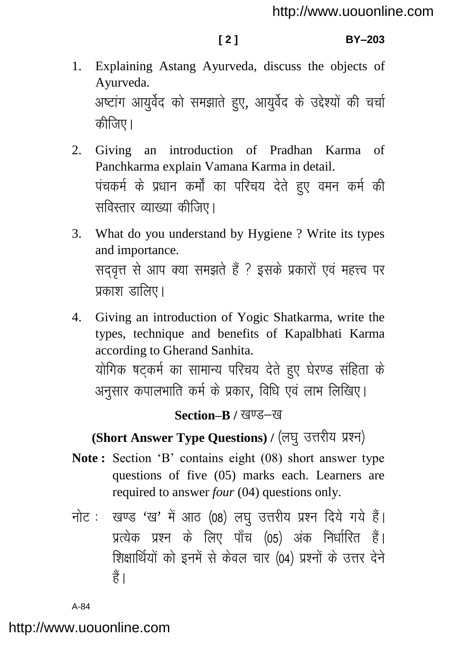- 1. Explaining Astang Ayurveda, discuss the objects of Ayurveda. अष्टांग आयुर्वेद को समझाते हुए, आयुर्वेद के उद्देश्यों की चर्चा कीजिए।
- 2. Giving an introduction of Pradhan Karma of Panchkarma explain Vamana Karma in detail. पंचकर्म के प्रधान कर्मों का परिचय देते हुए वमन कर्म की सविस्तार व्याख्या कीजिए।
- 3. What do you understand by Hygiene ? Write its types and importance. सदवृत्त से आप क्या समझते हैं ? इसके प्रकारों एवं महत्त्व पर प्रकाश डालिए।
- 4. Giving an introduction of Yogic Shatkarma, write the types, technique and benefits of Kapalbhati Karma according to Gherand Sanhita. योगिक षटकर्म का सामान्य परिचय देते हुए घेरण्ड संहिता के अनुसार कपालभाति कर्म के प्रकार, विधि एवं लाभ लिखिए।

## **Section–B / खण्ड–ख**

(Short Answer Type Questions) / (लघु उत्तरीय प्रश्न)

- **Note :** Section 'B' contains eight (08) short answer type questions of five (05) marks each. Learners are required to answer *four* (04) questions only.
- नोट: खण्ड 'ख' में आठ (08) लघ उत्तरीय प्रश्न दिये गये हैं। प्रत्येक प्रश्न के लिए पाँच (05) अंक निर्धारित हैं। शिक्षार्थियों को इनमें से केवल चार (04) प्रश्नों के उत्तर देने  $\frac{4}{5}$

A-84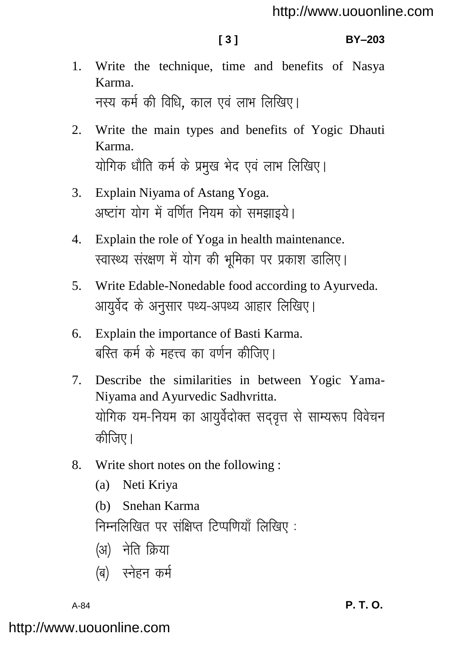- 1. Write the technique, time and benefits of Nasya Karma. नस्य कर्म की विधि, काल एवं लाभ लिखिए।
- 2. Write the main types and benefits of Yogic Dhauti Karma. योगिक धौति कर्म के प्रमुख भेद एवं लाभ लिखिए।
- 3. Explain Niyama of Astang Yoga. अष्टांग योग में वर्णित नियम को समझाइये।
- 4. Explain the role of Yoga in health maintenance. रवास्थ्य संरक्षण में योग की भूमिका पर प्रकाश डालिए।
- 5. Write Edable-Nonedable food according to Ayurveda. आयर्वेद के अनुसार पथ्य-अपथ्य आहार लिखिए।
- 6. Explain the importance of Basti Karma. बस्ति कर्म के महत्त्व का वर्णन कीजिए।
- 7. Describe the similarities in between Yogic Yama-Niyama and Ayurvedic Sadhvritta. योगिक यम-नियम का आयुर्वेदोक्त सदवृत्त से साम्यरूप विवेचन कीजिए।
- 8. Write short notes on the following :
	- (a) Neti Kriya
	- (b) Snehan Karma निम्नलिखित पर संक्षिप्त टिप्पणियाँ लिखिए:
	- (अ) नेति क्रिया
	- (ब) स्नेहन कर्म

A-84 **P. T. O.**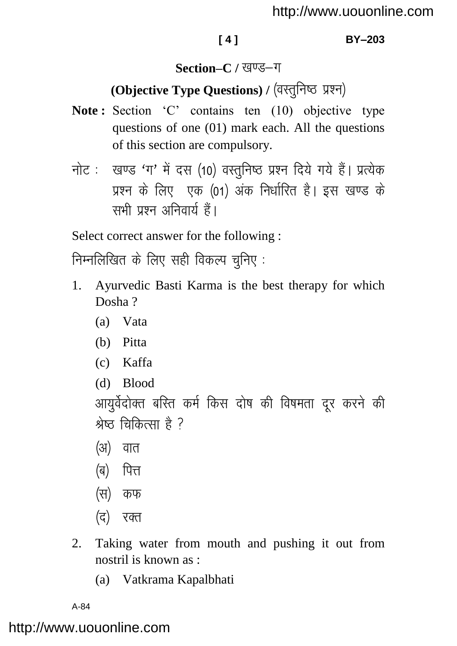### **[ 4 ] BY–203**

## Section–C / खण्ड–ग

# **(Objective Type Questions) / (वस्तुनिष्ठ प्रश्न)**

- **Note :** Section 'C' contains ten (10) objective type questions of one (01) mark each. All the questions of this section are compulsory.
- नोट: खण्ड 'ग' में दस (10) वस्तुनिष्ठ प्रश्न दिये गये हैं। प्रत्येक प्रश्न के लिए एक (01) अंक निर्धारित है। इस खण्ड के सभी प्रश्न अनिवार्य हैं।

Select correct answer for the following :

निम्नलिखित के लिए सही विकल्प चुनिए:

- 1. Ayurvedic Basti Karma is the best therapy for which Dosha ?
	- (a) Vata
	- (b) Pitta
	- (c) Kaffa
	- (d) Blood

आयुर्वेदोक्त बस्ति कर्म किस दोष की विषमता दूर करने की श्रेष्ठ चिकित्सा है  $\overline{?}$ 

- (अ) वात
- $\sqrt{q}$ ) पित्त
- (स) कफ
- (द) रक्त
- 2. Taking water from mouth and pushing it out from nostril is known as :
	- (a) Vatkrama Kapalbhati

A-84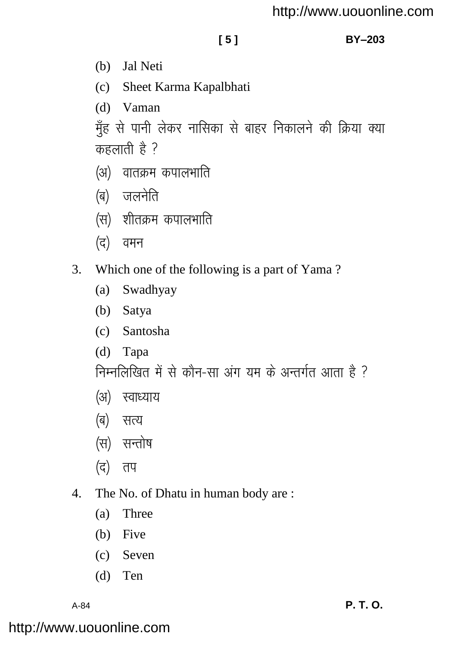### **[ 5 ] BY–203**

- (b) Jal Neti
- (c) Sheet Karma Kapalbhati
- (d) Vaman

मुँह से पानी लेकर नासिका से बाहर निकालने की क्रिया क्या कहलाती है $\overline{6}$ 

- (अ) वातक्रम कपालभाति
- $(a)$  जलनेति
- (स) शीतक्रम कपालभाति
- (द) वमन
- 3. Which one of the following is a part of Yama ?
	- (a) Swadhyay
	- (b) Satya
	- (c) Santosha
	- (d) Tapa

निम्नलिखित में से कौन-सा अंग यम के अन्तर्गत आता है ?

- (अ) स्वाध्याय
- (ब) सत्य
- (स) सन्तोष
- (द) तप
- 4. The No. of Dhatu in human body are :
	- (a) Three
	- (b) Five
	- (c) Seven
	- (d) Ten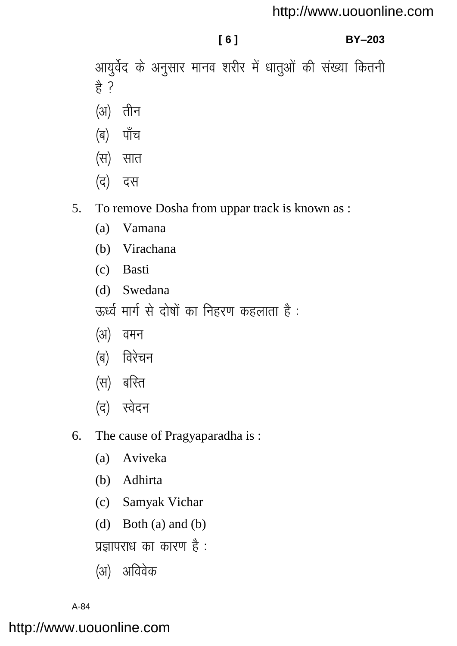## <http://www.uouonline.com>

### **[ 6 ] BY–203**

आयुर्वेद के अनुसार मानव शरीर में धातुओं की संख्या कितनी  $\frac{\Delta}{\beta}$  ?

- $(3)$  तीन
- (ब) पाँच
- $(\overline{H})$  सात
- (द) दस
- 5. To remove Dosha from uppar track is known as :
	- (a) Vamana
	- (b) Virachana
	- (c) Basti
	- (d) Swedana
	- ऊर्ध्व मार्ग से दोषों का निहरण कहलाता है :
	- $(3)$  वमन
	- (ब) विरेचन
	- $(\overline{H})$  बरित
	- (द) स्वेदन
- 6. The cause of Pragyaparadha is :
	- (a) Aviveka
	- (b) Adhirta
	- (c) Samyak Vichar
	- (d) Both (a) and (b)
	- प्रज्ञापराध का कारण है :
	- (अ) अविवेक

A-84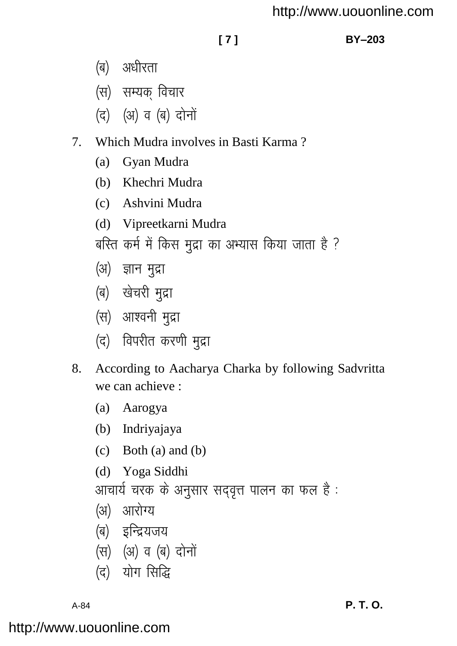## <http://www.uouonline.com>

### **[ 7 ] BY–203**

- (ब) अधीरता
- (स) सम्यक विचार
- $(7)$   $(3)$   $(4)$   $(4)$   $(7)$
- 7. Which Mudra involves in Basti Karma ?
	- (a) Gyan Mudra
	- (b) Khechri Mudra
	- (c) Ashvini Mudra
	- (d) Vipreetkarni Mudra
	- बरित कर्म में किस मुद्रा का अभ्यास किया जाता है ?
	- (अ) ज्ञान मुद्रा
	- (ब) खेचरी मुद्रा
	- (स) आश्वनी मुद्रा
	- (द) विपरीत करणी मुद्रा
- 8. According to Aacharya Charka by following Sadvritta we can achieve :
	- (a) Aarogya
	- (b) Indriyajaya
	- (c) Both (a) and (b)
	- (d) Yoga Siddhi

आंचार्य चरक के अनुसार सद्वृत्त पालन का फल है:

- (अ) आरोग्य
- (ब) इन्द्रियजय
- $(\nabla \cdot \mathbf{r})$   $(\nabla \cdot \mathbf{r})$   $(\nabla \cdot \mathbf{r})$  and  $(\nabla \cdot \mathbf{r})$
- (द) योग सिद्धि